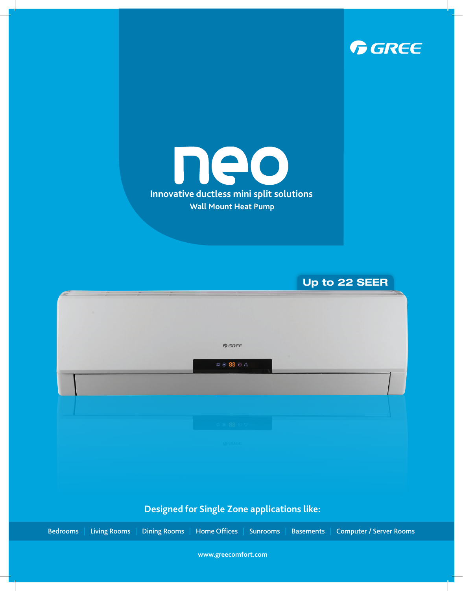



**Up to 22 SEER**

|  |  | $G$ <b>GREE</b>                                    |  |  |
|--|--|----------------------------------------------------|--|--|
|  |  |                                                    |  |  |
|  |  |                                                    |  |  |
|  |  | ** 88 0 4                                          |  |  |
|  |  |                                                    |  |  |
|  |  |                                                    |  |  |
|  |  |                                                    |  |  |
|  |  |                                                    |  |  |
|  |  |                                                    |  |  |
|  |  |                                                    |  |  |
|  |  |                                                    |  |  |
|  |  |                                                    |  |  |
|  |  |                                                    |  |  |
|  |  |                                                    |  |  |
|  |  | 本来 88 单星                                           |  |  |
|  |  |                                                    |  |  |
|  |  |                                                    |  |  |
|  |  |                                                    |  |  |
|  |  | DQ                                                 |  |  |
|  |  |                                                    |  |  |
|  |  |                                                    |  |  |
|  |  |                                                    |  |  |
|  |  |                                                    |  |  |
|  |  |                                                    |  |  |
|  |  |                                                    |  |  |
|  |  |                                                    |  |  |
|  |  |                                                    |  |  |
|  |  |                                                    |  |  |
|  |  |                                                    |  |  |
|  |  |                                                    |  |  |
|  |  | <b>Designed for Single Zone applications like:</b> |  |  |
|  |  |                                                    |  |  |

Bedrooms | Living Rooms | Dining Rooms | Home Offices | Sunrooms | Basements | Computer / Server Rooms

**www.greecomfort.com**